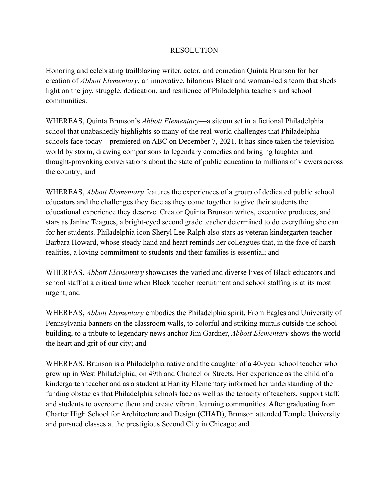## RESOLUTION

Honoring and celebrating trailblazing writer, actor, and comedian Quinta Brunson for her creation of *Abbott Elementary*, an innovative, hilarious Black and woman-led sitcom that sheds light on the joy, struggle, dedication, and resilience of Philadelphia teachers and school communities.

WHEREAS, Quinta Brunson's *Abbott Elementary*—a sitcom set in a fictional Philadelphia school that unabashedly highlights so many of the real-world challenges that Philadelphia schools face today—premiered on ABC on December 7, 2021. It has since taken the television world by storm, drawing comparisons to legendary comedies and bringing laughter and thought-provoking conversations about the state of public education to millions of viewers across the country; and

WHEREAS, *Abbott Elementary* features the experiences of a group of dedicated public school educators and the challenges they face as they come together to give their students the educational experience they deserve. Creator Quinta Brunson writes, executive produces, and stars as Janine Teagues, a bright-eyed second grade teacher determined to do everything she can for her students. Philadelphia icon Sheryl Lee Ralph also stars as veteran kindergarten teacher Barbara Howard, whose steady hand and heart reminds her colleagues that, in the face of harsh realities, a loving commitment to students and their families is essential; and

WHEREAS, *Abbott Elementary* showcases the varied and diverse lives of Black educators and school staff at a critical time when Black teacher recruitment and school staffing is at its most urgent; and

WHEREAS, *Abbott Elementary* embodies the Philadelphia spirit. From Eagles and University of Pennsylvania banners on the classroom walls, to colorful and striking murals outside the school building, to a tribute to legendary news anchor Jim Gardner, *Abbott Elementary* shows the world the heart and grit of our city; and

WHEREAS, Brunson is a Philadelphia native and the daughter of a 40-year school teacher who grew up in West Philadelphia, on 49th and Chancellor Streets. Her experience as the child of a kindergarten teacher and as a student at Harrity Elementary informed her understanding of the funding obstacles that Philadelphia schools face as well as the tenacity of teachers, support staff, and students to overcome them and create vibrant learning communities. After graduating from Charter High School for Architecture and Design (CHAD), Brunson attended Temple University and pursued classes at the prestigious Second City in Chicago; and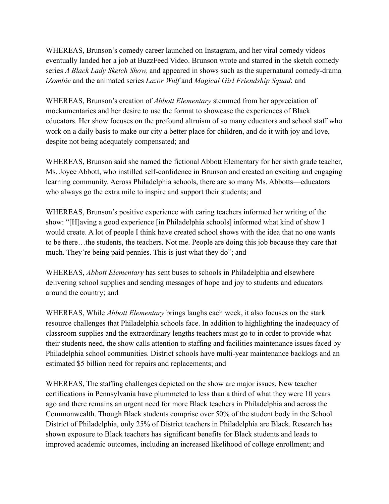WHEREAS, Brunson's comedy career launched on Instagram, and her viral comedy videos eventually landed her a job at BuzzFeed Video. Brunson wrote and starred in the sketch comedy series *A Black Lady Sketch Show,* and appeared in shows such as the supernatural comedy-drama *iZombie* and the animated series *Lazor Wulf* and *Magical Girl Friendship Squad*; and

WHEREAS, Brunson's creation of *Abbott Elementary* stemmed from her appreciation of mockumentaries and her desire to use the format to showcase the experiences of Black educators. Her show focuses on the profound altruism of so many educators and school staff who work on a daily basis to make our city a better place for children, and do it with joy and love, despite not being adequately compensated; and

WHEREAS, Brunson said she named the fictional Abbott Elementary for her sixth grade teacher, Ms. Joyce Abbott, who instilled self-confidence in Brunson and created an exciting and engaging learning community. Across Philadelphia schools, there are so many Ms. Abbotts—educators who always go the extra mile to inspire and support their students; and

WHEREAS, Brunson's positive experience with caring teachers informed her writing of the show: "[H]aving a good experience [in Philadelphia schools] informed what kind of show I would create. A lot of people I think have created school shows with the idea that no one wants to be there…the students, the teachers. Not me. People are doing this job because they care that much. They're being paid pennies. This is just what they do"; and

WHEREAS, *Abbott Elementary* has sent buses to schools in Philadelphia and elsewhere delivering school supplies and sending messages of hope and joy to students and educators around the country; and

WHEREAS, While *Abbott Elementary* brings laughs each week, it also focuses on the stark resource challenges that Philadelphia schools face. In addition to highlighting the inadequacy of classroom supplies and the extraordinary lengths teachers must go to in order to provide what their students need, the show calls attention to staffing and facilities maintenance issues faced by Philadelphia school communities. District schools have multi-year maintenance backlogs and an estimated \$5 billion need for repairs and replacements; and

WHEREAS, The staffing challenges depicted on the show are major issues. New teacher certifications in Pennsylvania have plummeted to less than a third of what they were 10 years ago and there remains an urgent need for more Black teachers in Philadelphia and across the Commonwealth. Though Black students comprise over 50% of the student body in the School District of Philadelphia, only 25% of District teachers in Philadelphia are Black. Research has shown exposure to Black teachers has significant benefits for Black students and leads to improved academic outcomes, including an increased likelihood of college enrollment; and